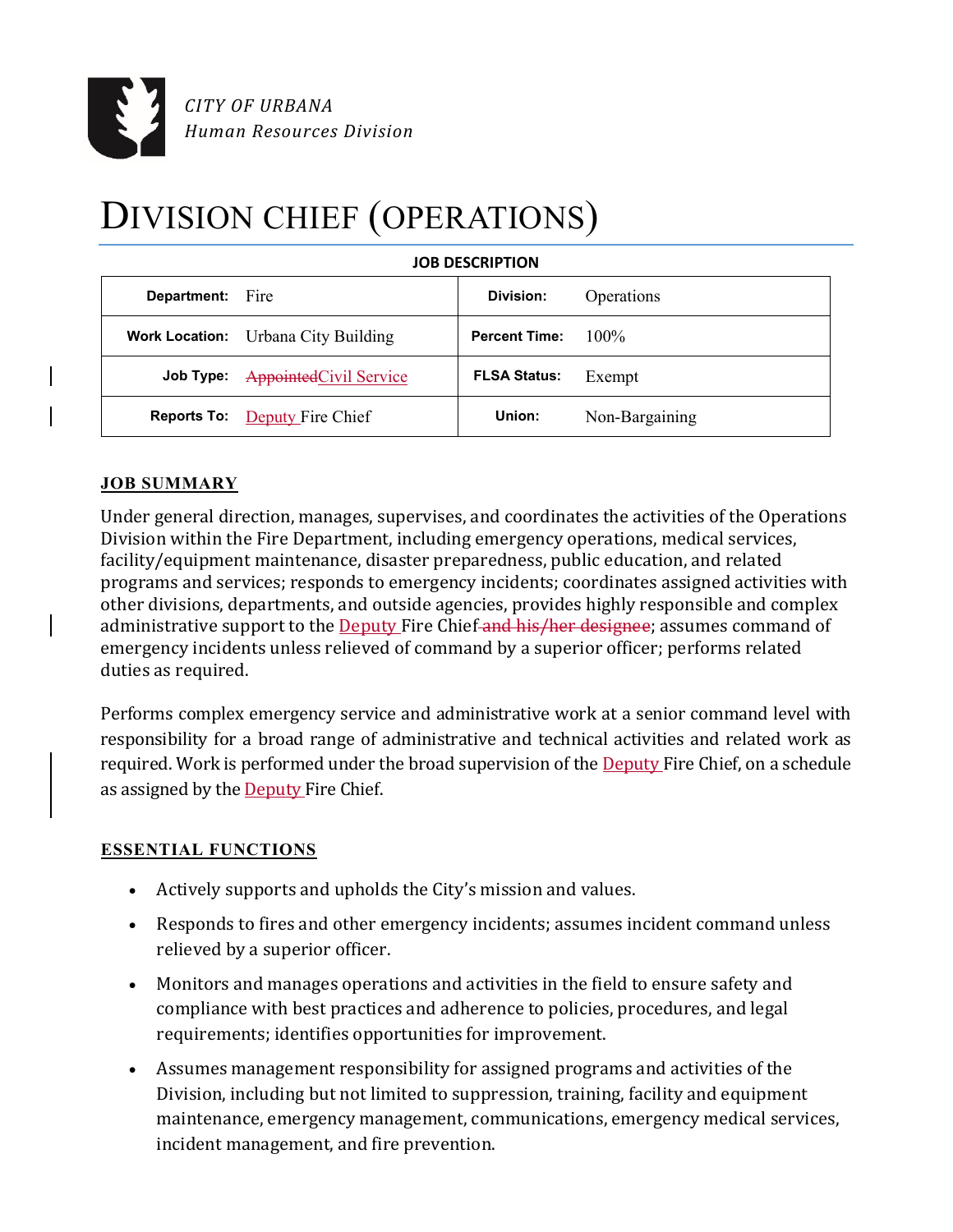

# DIVISION CHIEF (OPERATIONS)

| <b>Department:</b> Fire |                                      | Division:            | Operations     |
|-------------------------|--------------------------------------|----------------------|----------------|
|                         | Work Location: Urbana City Building  | <b>Percent Time:</b> | $100\%$        |
|                         | Job Type: Appointed Civil Service    | <b>FLSA Status:</b>  | Exempt         |
|                         | <b>Reports To:</b> Deputy Fire Chief | Union:               | Non-Bargaining |

## **JOB SUMMARY**

Under general direction, manages, supervises, and coordinates the activities of the Operations Division within the Fire Department, including emergency operations, medical services, facility/equipment maintenance, disaster preparedness, public education, and related programs and services; responds to emergency incidents; coordinates assigned activities with other divisions, departments, and outside agencies, provides highly responsible and complex administrative support to the Deputy Fire Chief and his/her designee; assumes command of emergency incidents unless relieved of command by a superior officer; performs related duties as required.

Performs complex emergency service and administrative work at a senior command level with responsibility for a broad range of administrative and technical activities and related work as required. Work is performed under the broad supervision of the Deputy Fire Chief, on a schedule as assigned by the **Deputy** Fire Chief.

## **ESSENTIAL FUNCTIONS**

- Actively supports and upholds the City's mission and values.
- Responds to fires and other emergency incidents; assumes incident command unless relieved by a superior officer.
- Monitors and manages operations and activities in the field to ensure safety and compliance with best practices and adherence to policies, procedures, and legal requirements; identifies opportunities for improvement.
- Assumes management responsibility for assigned programs and activities of the Division, including but not limited to suppression, training, facility and equipment maintenance, emergency management, communications, emergency medical services, incident management, and fire prevention.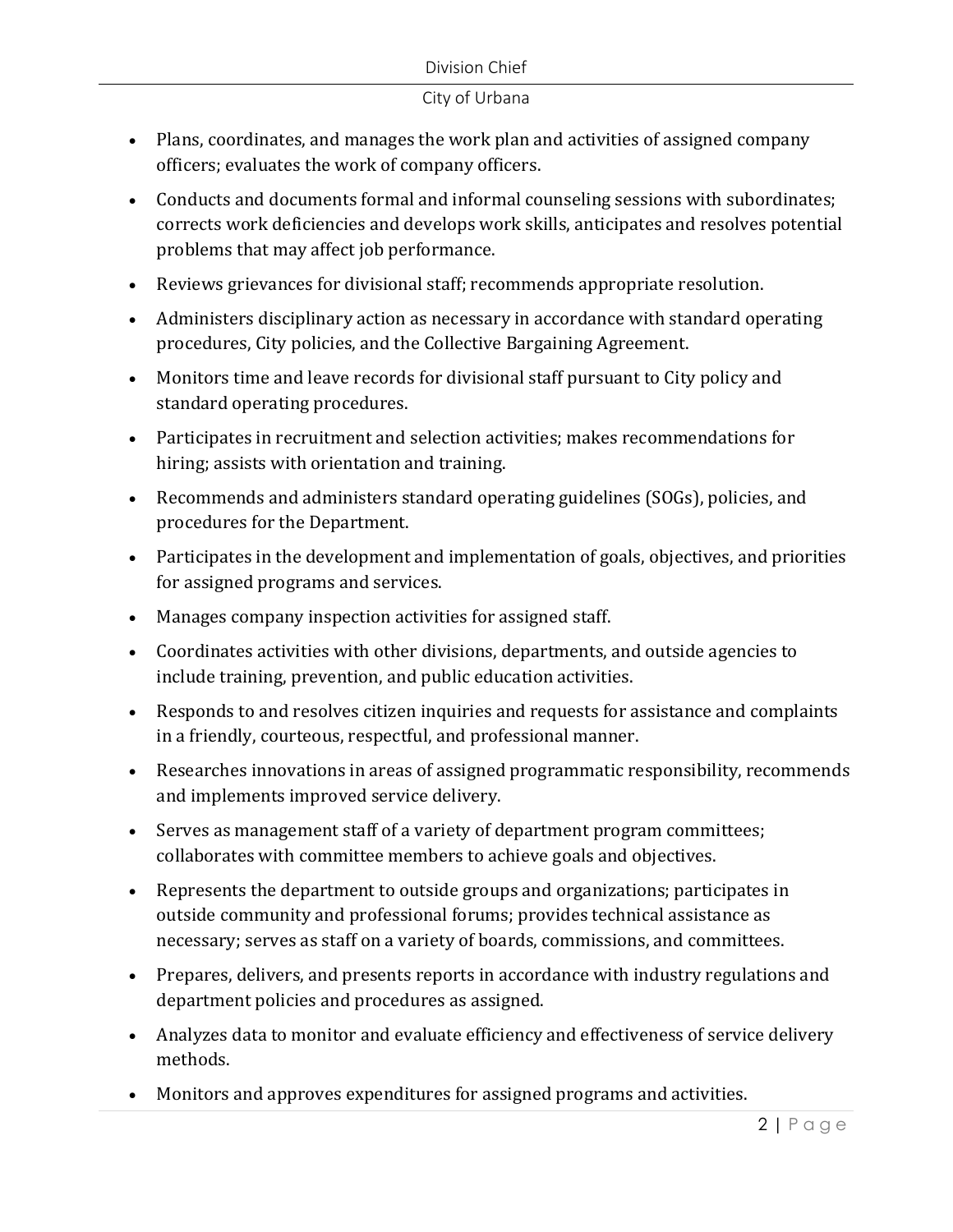- Plans, coordinates, and manages the work plan and activities of assigned company officers; evaluates the work of company officers.
- Conducts and documents formal and informal counseling sessions with subordinates; corrects work deficiencies and develops work skills, anticipates and resolves potential problems that may affect job performance.
- Reviews grievances for divisional staff; recommends appropriate resolution.
- Administers disciplinary action as necessary in accordance with standard operating procedures, City policies, and the Collective Bargaining Agreement.
- Monitors time and leave records for divisional staff pursuant to City policy and standard operating procedures.
- Participates in recruitment and selection activities; makes recommendations for hiring; assists with orientation and training.
- Recommends and administers standard operating guidelines (SOGs), policies, and procedures for the Department.
- Participates in the development and implementation of goals, objectives, and priorities for assigned programs and services.
- Manages company inspection activities for assigned staff.
- Coordinates activities with other divisions, departments, and outside agencies to include training, prevention, and public education activities.
- Responds to and resolves citizen inquiries and requests for assistance and complaints in a friendly, courteous, respectful, and professional manner.
- Researches innovations in areas of assigned programmatic responsibility, recommends and implements improved service delivery.
- Serves as management staff of a variety of department program committees; collaborates with committee members to achieve goals and objectives.
- Represents the department to outside groups and organizations; participates in outside community and professional forums; provides technical assistance as necessary; serves as staff on a variety of boards, commissions, and committees.
- Prepares, delivers, and presents reports in accordance with industry regulations and department policies and procedures as assigned.
- Analyzes data to monitor and evaluate efficiency and effectiveness of service delivery methods.
- Monitors and approves expenditures for assigned programs and activities.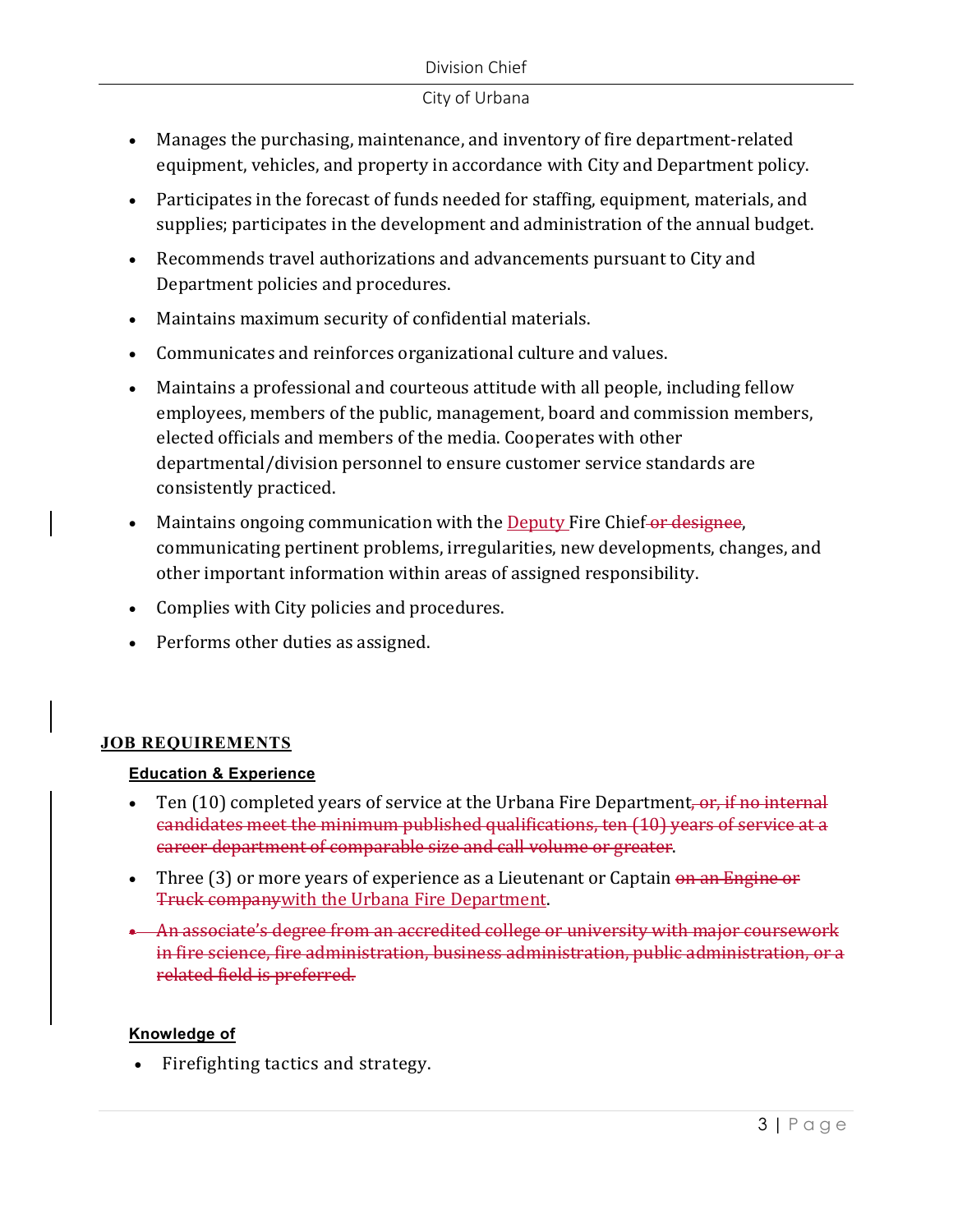#### Division Chief

#### City of Urbana

- Manages the purchasing, maintenance, and inventory of fire department-related equipment, vehicles, and property in accordance with City and Department policy.
- Participates in the forecast of funds needed for staffing, equipment, materials, and supplies; participates in the development and administration of the annual budget.
- Recommends travel authorizations and advancements pursuant to City and Department policies and procedures.
- Maintains maximum security of confidential materials.
- Communicates and reinforces organizational culture and values.
- Maintains a professional and courteous attitude with all people, including fellow employees, members of the public, management, board and commission members, elected officials and members of the media. Cooperates with other departmental/division personnel to ensure customer service standards are consistently practiced.
- Maintains ongoing communication with the Deputy Fire Chief or designee, communicating pertinent problems, irregularities, new developments, changes, and other important information within areas of assigned responsibility.
- Complies with City policies and procedures.
- Performs other duties as assigned.

## **JOB REQUIREMENTS**

## **Education & Experience**

- Ten  $(10)$  completed years of service at the Urbana Fire Department, or, if no internal candidates meet the minimum published qualifications, ten (10) years of service at a career department of comparable size and call volume or greater.
- Three (3) or more years of experience as a Lieutenant or Captain on an Engine or Truck companywith the Urbana Fire Department.
- An associate's degree from an accredited college or university with major coursework in fire science, fire administration, business administration, public administration, or a related field is preferred.

## **Knowledge of**

• Firefighting tactics and strategy.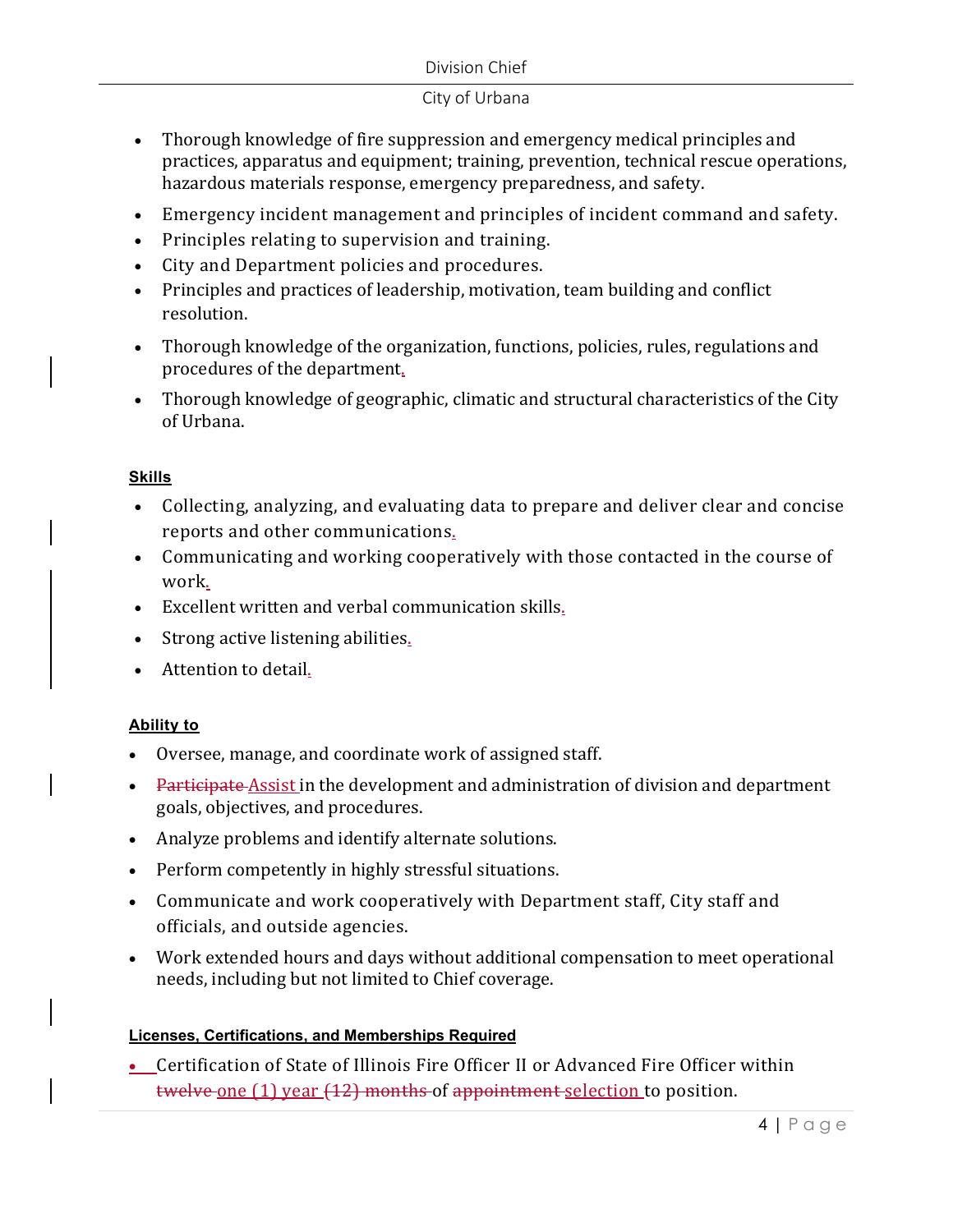#### Division Chief

#### City of Urbana

- Thorough knowledge of fire suppression and emergency medical principles and practices, apparatus and equipment; training, prevention, technical rescue operations, hazardous materials response, emergency preparedness, and safety.
- Emergency incident management and principles of incident command and safety.
- Principles relating to supervision and training.
- City and Department policies and procedures.
- Principles and practices of leadership, motivation, team building and conflict resolution.
- Thorough knowledge of the organization, functions, policies, rules, regulations and procedures of the department.
- Thorough knowledge of geographic, climatic and structural characteristics of the City of Urbana.

## **Skills**

- Collecting, analyzing, and evaluating data to prepare and deliver clear and concise reports and other communications.
- Communicating and working cooperatively with those contacted in the course of work.
- Excellent written and verbal communication skills.
- Strong active listening abilities.
- Attention to detail.

## **Ability to**

- Oversee, manage, and coordinate work of assigned staff.
- Participate Assist in the development and administration of division and department goals, objectives, and procedures.
- Analyze problems and identify alternate solutions.
- Perform competently in highly stressful situations.
- Communicate and work cooperatively with Department staff, City staff and officials, and outside agencies.
- Work extended hours and days without additional compensation to meet operational needs, including but not limited to Chief coverage.

## **Licenses, Certifications, and Memberships Required**

 Certification of State of Illinois Fire Officer II or Advanced Fire Officer within twelve one (1) year (12) months of appointment selection to position.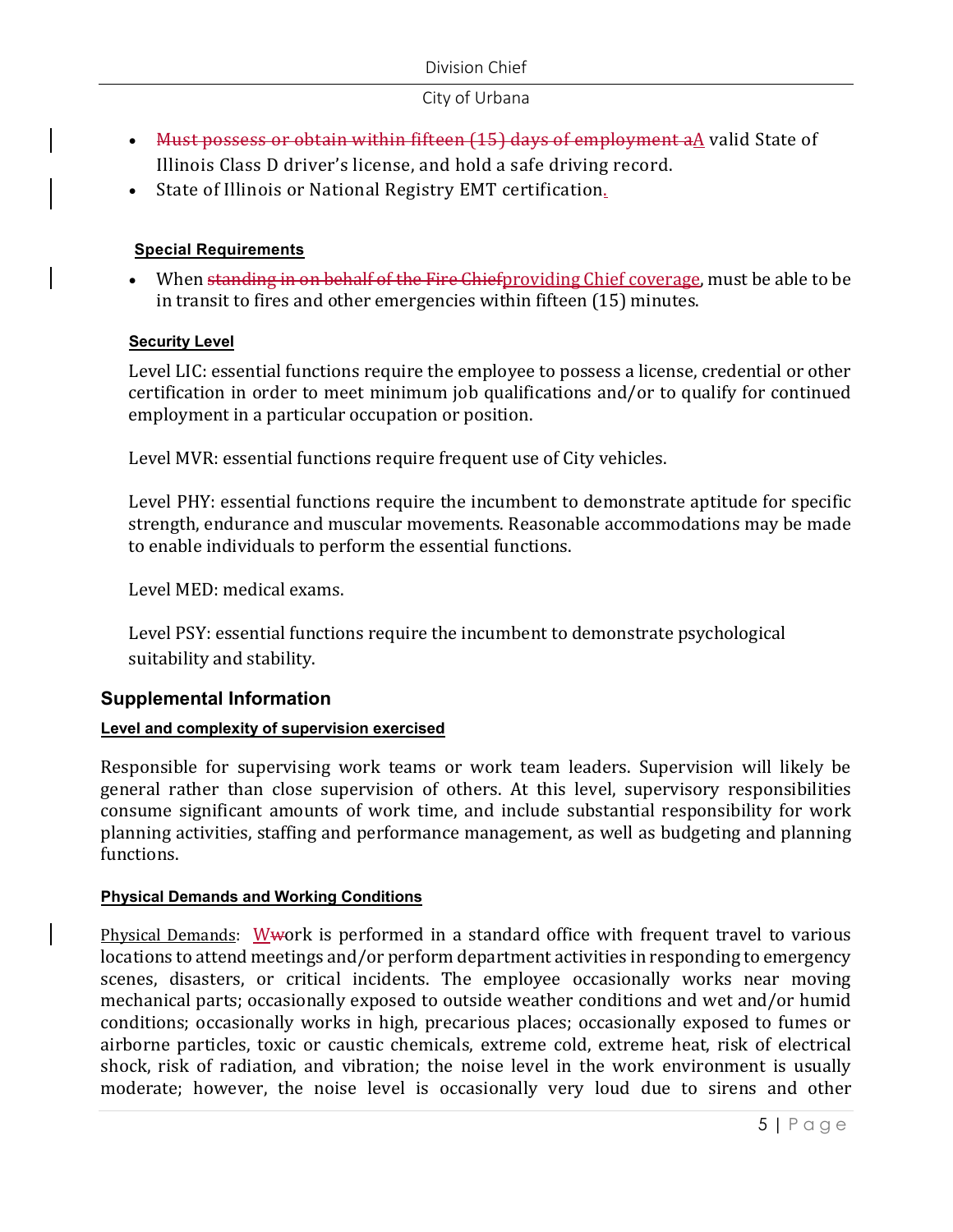- Must possess or obtain within fifteen (15) days of employment aA valid State of Illinois Class D driver's license, and hold a safe driving record.
- State of Illinois or National Registry EMT certification.

## **Special Requirements**

• When standing in on behalf of the Fire Chiefproviding Chief coverage, must be able to be in transit to fires and other emergencies within fifteen (15) minutes.

## **Security Level**

Level LIC: essential functions require the employee to possess a license, credential or other certification in order to meet minimum job qualifications and/or to qualify for continued employment in a particular occupation or position.

Level MVR: essential functions require frequent use of City vehicles.

Level PHY: essential functions require the incumbent to demonstrate aptitude for specific strength, endurance and muscular movements. Reasonable accommodations may be made to enable individuals to perform the essential functions.

Level MED: medical exams.

Level PSY: essential functions require the incumbent to demonstrate psychological suitability and stability.

## **Supplemental Information**

## **Level and complexity of supervision exercised**

Responsible for supervising work teams or work team leaders. Supervision will likely be general rather than close supervision of others. At this level, supervisory responsibilities consume significant amounts of work time, and include substantial responsibility for work planning activities, staffing and performance management, as well as budgeting and planning functions.

## **Physical Demands and Working Conditions**

Physical Demands: Wwork is performed in a standard office with frequent travel to various locations to attend meetings and/or perform department activities in responding to emergency scenes, disasters, or critical incidents. The employee occasionally works near moving mechanical parts; occasionally exposed to outside weather conditions and wet and/or humid conditions; occasionally works in high, precarious places; occasionally exposed to fumes or airborne particles, toxic or caustic chemicals, extreme cold, extreme heat, risk of electrical shock, risk of radiation, and vibration; the noise level in the work environment is usually moderate; however, the noise level is occasionally very loud due to sirens and other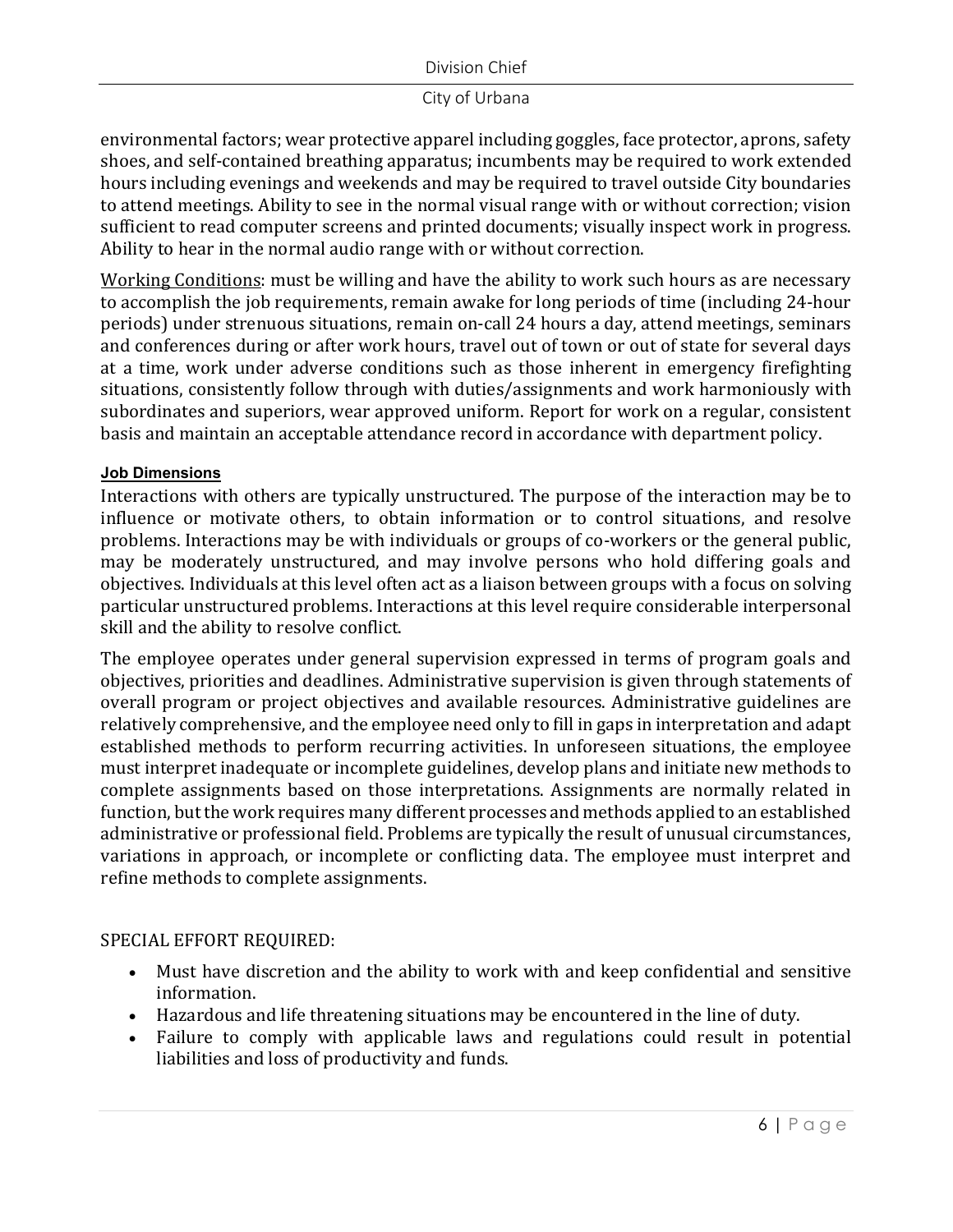environmental factors; wear protective apparel including goggles, face protector, aprons, safety shoes, and self-contained breathing apparatus; incumbents may be required to work extended hours including evenings and weekends and may be required to travel outside City boundaries to attend meetings. Ability to see in the normal visual range with or without correction; vision sufficient to read computer screens and printed documents; visually inspect work in progress. Ability to hear in the normal audio range with or without correction.

Working Conditions: must be willing and have the ability to work such hours as are necessary to accomplish the job requirements, remain awake for long periods of time (including 24-hour periods) under strenuous situations, remain on-call 24 hours a day, attend meetings, seminars and conferences during or after work hours, travel out of town or out of state for several days at a time, work under adverse conditions such as those inherent in emergency firefighting situations, consistently follow through with duties/assignments and work harmoniously with subordinates and superiors, wear approved uniform. Report for work on a regular, consistent basis and maintain an acceptable attendance record in accordance with department policy.

#### **Job Dimensions**

Interactions with others are typically unstructured. The purpose of the interaction may be to influence or motivate others, to obtain information or to control situations, and resolve problems. Interactions may be with individuals or groups of co-workers or the general public, may be moderately unstructured, and may involve persons who hold differing goals and objectives. Individuals at this level often act as a liaison between groups with a focus on solving particular unstructured problems. Interactions at this level require considerable interpersonal skill and the ability to resolve conflict.

The employee operates under general supervision expressed in terms of program goals and objectives, priorities and deadlines. Administrative supervision is given through statements of overall program or project objectives and available resources. Administrative guidelines are relatively comprehensive, and the employee need only to fill in gaps in interpretation and adapt established methods to perform recurring activities. In unforeseen situations, the employee must interpret inadequate or incomplete guidelines, develop plans and initiate new methods to complete assignments based on those interpretations. Assignments are normally related in function, but the work requires many different processes and methods applied to an established administrative or professional field. Problems are typically the result of unusual circumstances, variations in approach, or incomplete or conflicting data. The employee must interpret and refine methods to complete assignments.

## SPECIAL EFFORT REQUIRED:

- Must have discretion and the ability to work with and keep confidential and sensitive information.
- Hazardous and life threatening situations may be encountered in the line of duty.
- Failure to comply with applicable laws and regulations could result in potential liabilities and loss of productivity and funds.